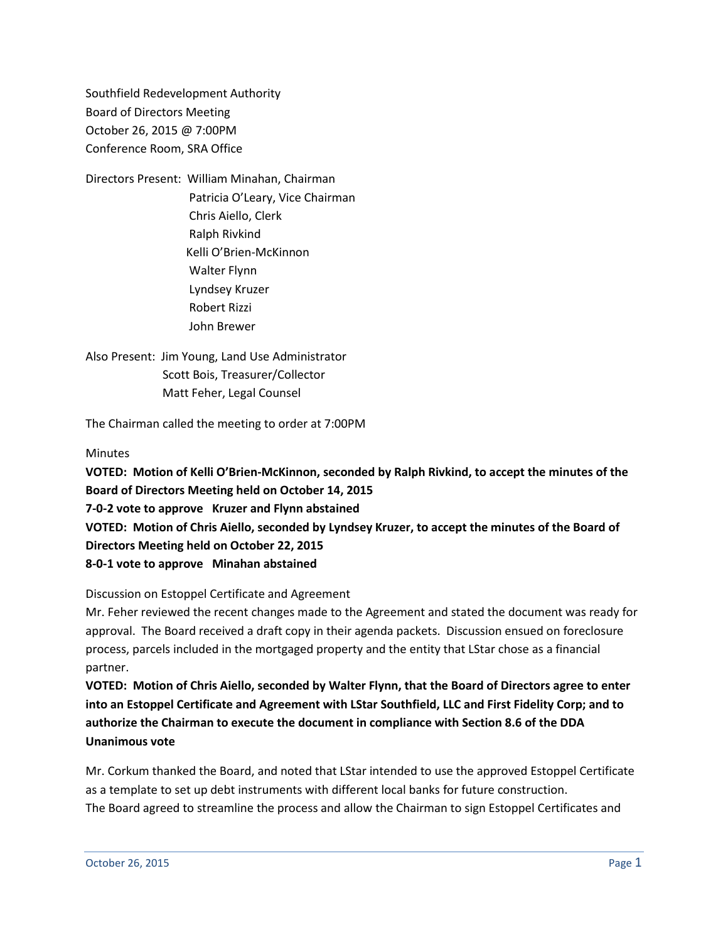Southfield Redevelopment Authority Board of Directors Meeting October 26, 2015 @ 7:00PM Conference Room, SRA Office

Directors Present: William Minahan, Chairman Patricia O'Leary, Vice Chairman Chris Aiello, Clerk Ralph Rivkind Kelli O'Brien-McKinnon Walter Flynn Lyndsey Kruzer Robert Rizzi John Brewer

Also Present: Jim Young, Land Use Administrator Scott Bois, Treasurer/Collector Matt Feher, Legal Counsel

The Chairman called the meeting to order at 7:00PM

**Minutes** 

**VOTED: Motion of Kelli O'Brien-McKinnon, seconded by Ralph Rivkind, to accept the minutes of the Board of Directors Meeting held on October 14, 2015 7-0-2 vote to approve Kruzer and Flynn abstained VOTED: Motion of Chris Aiello, seconded by Lyndsey Kruzer, to accept the minutes of the Board of Directors Meeting held on October 22, 2015 8-0-1 vote to approve Minahan abstained**

Discussion on Estoppel Certificate and Agreement

Mr. Feher reviewed the recent changes made to the Agreement and stated the document was ready for approval. The Board received a draft copy in their agenda packets. Discussion ensued on foreclosure process, parcels included in the mortgaged property and the entity that LStar chose as a financial partner.

**VOTED: Motion of Chris Aiello, seconded by Walter Flynn, that the Board of Directors agree to enter into an Estoppel Certificate and Agreement with LStar Southfield, LLC and First Fidelity Corp; and to authorize the Chairman to execute the document in compliance with Section 8.6 of the DDA Unanimous vote**

Mr. Corkum thanked the Board, and noted that LStar intended to use the approved Estoppel Certificate as a template to set up debt instruments with different local banks for future construction. The Board agreed to streamline the process and allow the Chairman to sign Estoppel Certificates and